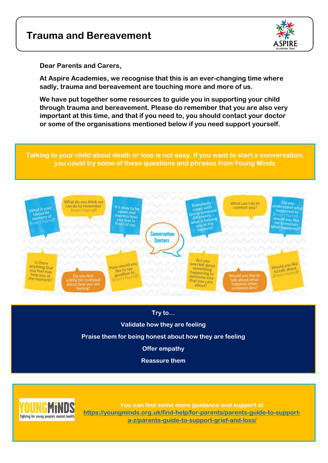# **Trauma and Bereavement**



**Dear Parents and Carers,** 

**At Aspire Academies, we recognise that this is an ever-changing time where sadly, trauma and bereavement are touching more and more of us.** 

**We have put together some resources to guide you in supporting your child through trauma and bereavement. Please do remember that you are also very important at this time, and that if you need to, you should contact your doctor or some of the organisations mentioned below if you need support yourself.** 

**Talking to your child about death or loss is not easy. If you want to start a conversation, you could try some of these questions and phrases from Young Minds**



## **Try to…**

**Validate how they are feeling**

**Praise them for being honest about how they are feeling**

**Offer empathy**

**Reassure them**



**You can find some more guidance and support at [https://youngminds.org.uk/find-help/for-parents/parents-guide-to-support](https://youngminds.org.uk/find-help/for-parents/parents-guide-to-support-a-z/parents-guide-to-support-grief-and-loss/)[a-z/parents-guide-to-support-grief-and-loss/](https://youngminds.org.uk/find-help/for-parents/parents-guide-to-support-a-z/parents-guide-to-support-grief-and-loss/)**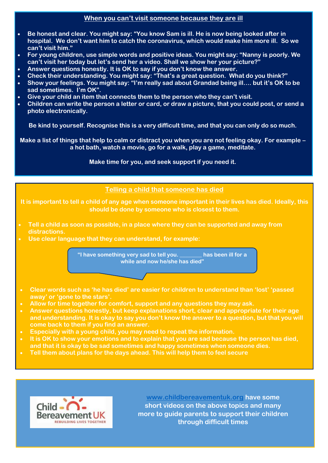### **When you can't visit someone because they are ill**

- **Be honest and clear. You might say: "You know Sam is ill. He is now being looked after in hospital. We don't want him to catch the coronavirus, which would make him more ill. So we can't visit him."**
- **For young children, use simple words and positive ideas. You might say: "Nanny is poorly. We can't visit her today but let's send her a video. Shall we show her your picture?"**
- **Answer questions honestly. It is OK to say if you don't know the answer.**
- **Check their understanding. You might say: "That's a great question. What do you think?"**
- **Show your feelings. You might say: "I'm really sad about Grandad being ill…. but it's OK to be sad sometimes. I'm OK".**
- **Give your child an item that connects them to the person who they can't visit.**
- **Children can write the person a letter or card, or draw a picture, that you could post, or send a photo electronically.**

**Be kind to yourself. Recognise this is a very difficult time, and that you can only do so much.**

**Make a list of things that help to calm or distract you when you are not feeling okay. For example – a hot bath, watch a movie, go for a walk, play a game, meditate.**

**Make time for you, and seek support if you need it.**

#### **Telling a child that someone has died**

**It is important to tell a child of any age when someone important in their lives has died. Ideally, this should be done by someone who is closest to them.**

- **Tell a child as soon as possible, in a place where they can be supported and away from distractions.**
- **Use clear language that they can understand, for example:**

**"I have something very sad to tell you. \_\_\_\_\_\_\_\_ has been ill for a while and now he/she has died"**

- **Clear words such as 'he has died' are easier for children to understand than 'lost' 'passed away' or 'gone to the stars'.**
- **Allow for time together for comfort, support and any questions they may ask.**
- **Answer questions honestly, but keep explanations short, clear and appropriate for their age and understanding. It is okay to say you don't know the answer to a question, but that you will come back to them if you find an answer.**
- **Especially with a young child, you may need to repeat the information.**
- **It is OK to show your emotions and to explain that you are sad because the person has died, and that it is okay to be sad sometimes and happy sometimes when someone dies.**

**Tell them about plans for the days ahead. This will help them to feel secure**



**[www.childbereavementuk.org](http://www.childbereavementuk.org/) have some short videos on the above topics and many more to guide parents to support their children through difficult times**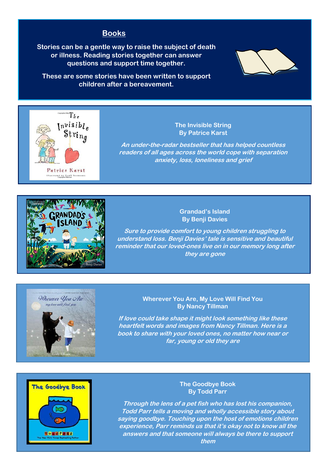# **Books**

**Stories can be a gentle way to raise the subject of death or illness. Reading stories together can answer questions and support time together.**

**These are some stories have been written to support children after a bereavement.**





#### **The Invisible String By Patrice Karst**

**An under-the-radar bestseller that has helped countless readers of all ages across the world cope with separation anxiety, loss, loneliness and grief**



#### **Grandad's Island By Benji Davies**

**Sure to provide comfort to young children struggling to understand loss. Benji Davies' tale is sensitive and beautiful reminder that our loved-ones live on in our memory long after they are gone** 



#### **Wherever You Are, My Love Will Find You By Nancy Tillman**

**If love could take shape it might look something like these heartfelt words and images from Nancy Tillman. Here is a book to share with your loved ones, no matter how near or far, young or old they are**



#### **The Goodbye Book By Todd Parr**

**Through the lens of a pet fish who has lost his companion, Todd Parr tells a moving and wholly accessible story about saying goodbye. Touching upon the host of emotions children experience, Parr reminds us that it's okay not to know all the answers and that someone will always be there to support them**

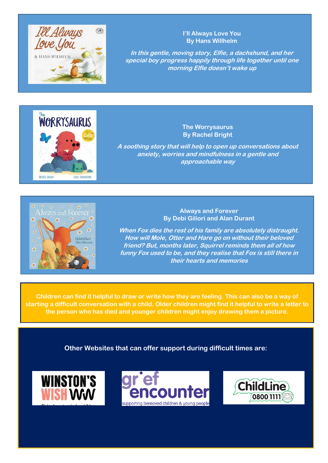

**I'll Always Love You By Hans Willhelm**

**In this gentle, moving story, Elfie, a dachshund, and her special boy progress happily through life together until one morning Elfie doesn't wake up**



**The Worrysaurus By Rachel Bright**

**A soothing story that will help to open up conversations about anxiety, worries and mindfulness in a gentle and approachable way**



**Always and Forever By Debi Giliori and Alan Durant**

**When Fox dies the rest of his family are absolutely distraught. How will Mole, Otter and Hare go on without their beloved friend? But, months later, Squirrel reminds them all of how funny Fox used to be, and they realise that Fox is still there in their hearts and memories**

**Children can find it helpful to draw or write how they are feeling. This can also be a way of starting a difficult conversation with a child. Older children might find it helpful to write a letter to the person who has died and younger children might enjoy drawing them a picture.**

**Other Websites that can offer support during difficult times are:**